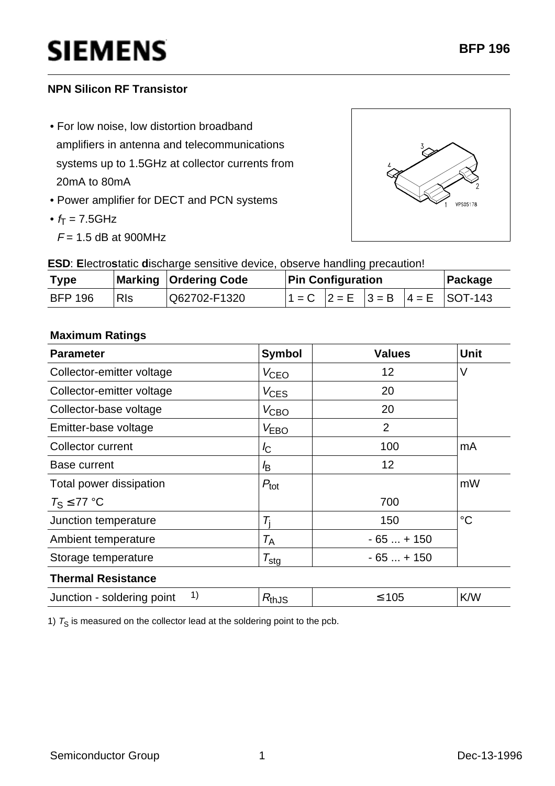## **SIEMENS**

#### **NPN Silicon RF Transistor**

- For low noise, low distortion broadband amplifiers in antenna and telecommunications systems up to 1.5GHz at collector currents from 20mA to 80mA
- Power amplifier for DECT and PCN systems
- $f_T = 7.5$ GHz
	- $F = 1.5$  dB at 900MHz



**ESD**: **E**lectro**s**tatic **d**ischarge sensitive device, observe handling precaution!

| <b>Type</b>    |            | Marking   Ordering Code | <b>Pin Configuration</b> |  |  | Package |                                               |
|----------------|------------|-------------------------|--------------------------|--|--|---------|-----------------------------------------------|
| <b>BFP 196</b> | <b>RIs</b> | Q62702-F1320            |                          |  |  |         | $1 - C$ $ 2 = E$ $ 3 = B$ $ 4 = E$ $ SOT-143$ |

#### **Maximum Ratings**

| <b>Parameter</b>                 | <b>Symbol</b>       | <b>Values</b>  | <b>Unit</b> |
|----------------------------------|---------------------|----------------|-------------|
| Collector-emitter voltage        | V <sub>CEO</sub>    | 12             | $\vee$      |
| Collector-emitter voltage        | $V_{\text{CES}}$    | 20             |             |
| Collector-base voltage           | $V_{\text{CBO}}$    | 20             |             |
| Emitter-base voltage             | V <sub>EBO</sub>    | $\overline{2}$ |             |
| Collector current                | $I_{\rm C}$         | 100            | mA          |
| Base current                     | l <sub>B</sub>      | 12             |             |
| Total power dissipation          | $P_{\text{tot}}$    |                | mW          |
| $T_S \leq 77$ °C                 |                     | 700            |             |
| Junction temperature             | Ti                  | 150            | $^{\circ}C$ |
| Ambient temperature              | $T_{\sf A}$         | $-65+150$      |             |
| Storage temperature              | $\tau_{\text{stg}}$ | $-65+150$      |             |
| <b>Thermal Resistance</b>        |                     |                |             |
| 1)<br>Junction - soldering point | $R_{th,JS}$         | $≤ 105$        | K/W         |

1)  $T_S$  is measured on the collector lead at the soldering point to the pcb.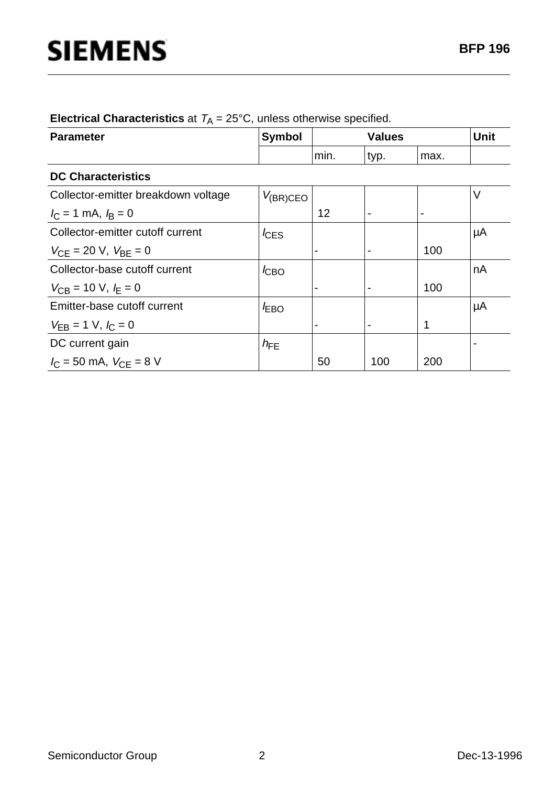| <b>Parameter</b>                            | <b>Symbol</b>    | <b>Values</b>            |      |                | <b>Unit</b> |  |  |  |
|---------------------------------------------|------------------|--------------------------|------|----------------|-------------|--|--|--|
|                                             |                  | min.                     | typ. | max.           |             |  |  |  |
| <b>DC Characteristics</b>                   |                  |                          |      |                |             |  |  |  |
| Collector-emitter breakdown voltage         | $V_{(BR)CEO}$    |                          |      |                | V           |  |  |  |
| $I_{\rm C}$ = 1 mA, $I_{\rm B}$ = 0         |                  | 12                       |      | $\blacksquare$ |             |  |  |  |
| Collector-emitter cutoff current            | $I_{\text{CES}}$ |                          |      |                | μA          |  |  |  |
| $V_{\text{CE}}$ = 20 V, $V_{\text{BE}}$ = 0 |                  |                          |      | 100            |             |  |  |  |
| Collector-base cutoff current               | $I_{CBO}$        |                          |      |                | nA          |  |  |  |
| $V_{CB}$ = 10 V, $I_E$ = 0                  |                  |                          |      | 100            |             |  |  |  |
| Emitter-base cutoff current                 | $I_{EBO}$        |                          |      |                | μA          |  |  |  |
| $V_{EB} = 1$ V, $I_C = 0$                   |                  | $\overline{\phantom{0}}$ |      | 1              |             |  |  |  |
| DC current gain                             | $h_{FE}$         |                          |      |                |             |  |  |  |
| $I_{\rm C}$ = 50 mA, $V_{\rm CE}$ = 8 V     |                  | 50                       | 100  | 200            |             |  |  |  |

**Electrical Characteristics** at  $T_A = 25^{\circ}$ C, unless otherwise specified.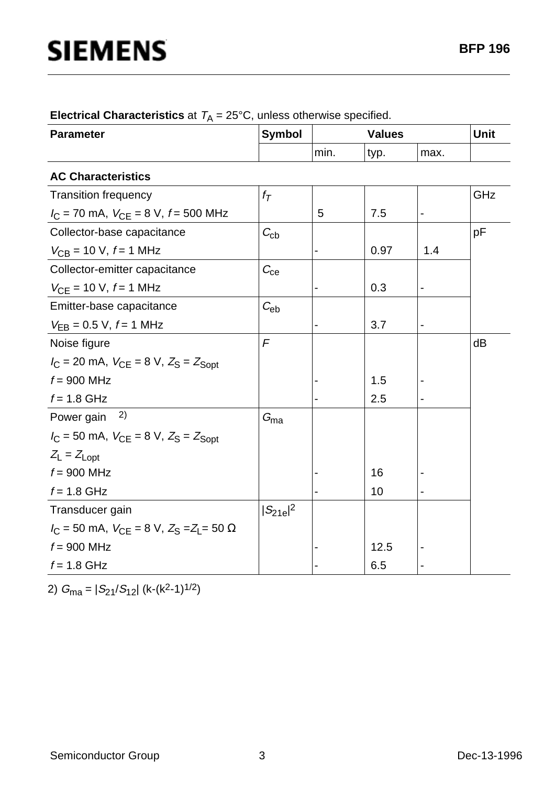| <b>Parameter</b>                                         | <b>Symbol</b>     |      | <b>Values</b> |                              |     |
|----------------------------------------------------------|-------------------|------|---------------|------------------------------|-----|
|                                                          |                   | min. | typ.          | max.                         |     |
| <b>AC Characteristics</b>                                |                   |      |               |                              |     |
| <b>Transition frequency</b>                              | $f_{\mathcal{T}}$ |      |               |                              | GHz |
| $I_C$ = 70 mA, $V_{CE}$ = 8 V, $f$ = 500 MHz             |                   | 5    | 7.5           | $\qquad \qquad \blacksquare$ |     |
| Collector-base capacitance                               | $C_{\rm cb}$      |      |               |                              | рF  |
| $V_{CB}$ = 10 V, $f$ = 1 MHz                             |                   |      | 0.97          | 1.4                          |     |
| Collector-emitter capacitance                            | $C_{\rm ce}$      |      |               |                              |     |
| $V_{CE}$ = 10 V, $f$ = 1 MHz                             |                   |      | 0.3           |                              |     |
| Emitter-base capacitance                                 | $C_{eb}$          |      |               |                              |     |
| $V_{EB} = 0.5 V, f = 1 MHz$                              |                   |      | 3.7           |                              |     |
| Noise figure                                             | $\sqrt{F}$        |      |               |                              | dB  |
| $I_C = 20$ mA, $V_{CE} = 8$ V, $Z_S = Z_{Sopt}$          |                   |      |               |                              |     |
| $f = 900$ MHz                                            |                   |      | 1.5           |                              |     |
| $f = 1.8$ GHz                                            |                   |      | 2.5           | $\overline{\phantom{a}}$     |     |
| 2)<br>Power gain                                         | $G_{\text{ma}}$   |      |               |                              |     |
| $I_C = 50$ mA, $V_{CE} = 8$ V, $Z_S = Z_{Sopt}$          |                   |      |               |                              |     |
| $Z_L = Z_{Lopt}$                                         |                   |      |               |                              |     |
| $f = 900$ MHz                                            |                   |      | 16            |                              |     |
| $f = 1.8$ GHz                                            |                   |      | 10            |                              |     |
| Transducer gain                                          | $ S_{21e} ^2$     |      |               |                              |     |
| $I_C = 50$ mA, $V_{CE} = 8$ V, $Z_S = Z_L = 50$ $\Omega$ |                   |      |               |                              |     |
| $f = 900$ MHz                                            |                   |      | 12.5          |                              |     |
| $f = 1.8$ GHz                                            |                   |      | 6.5           |                              |     |

| <b>Electrical Characteristics</b> at $T_A = 25^{\circ}$ C, unless otherwise specified. |  |  |  |
|----------------------------------------------------------------------------------------|--|--|--|
|----------------------------------------------------------------------------------------|--|--|--|

2)  $G_{\text{ma}} = |S_{21}/S_{12}|$  (k-(k<sup>2</sup>-1)<sup>1/2</sup>)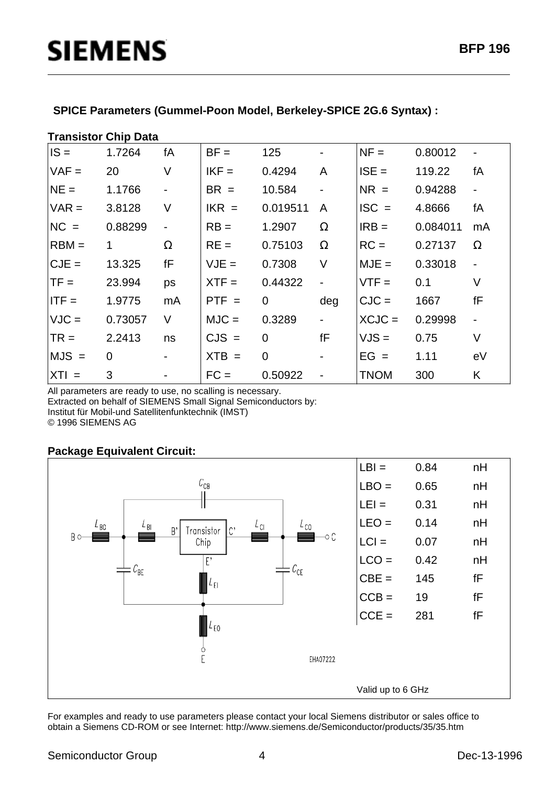# **SIEMENS**

|  | SPICE Parameters (Gummel-Poon Model, Berkeley-SPICE 2G.6 Syntax) : |
|--|--------------------------------------------------------------------|
|  |                                                                    |

| <b>Transistor Chip Data</b> |         |                          |         |                |                              |             |          |                          |  |
|-----------------------------|---------|--------------------------|---------|----------------|------------------------------|-------------|----------|--------------------------|--|
| $IS =$                      | 1.7264  | fA                       | $BF =$  | 125            | $\overline{\phantom{0}}$     | $NF =$      | 0.80012  | $\overline{\phantom{a}}$ |  |
| $VAF =$                     | 20      | V                        | $IKF =$ | 0.4294         | A                            | $ISE =$     | 119.22   | fA                       |  |
| $NE =$                      | 1.1766  | $\overline{\phantom{a}}$ | $BR =$  | 10.584         | $\overline{\phantom{a}}$     | $NR =$      | 0.94288  | $\overline{\phantom{a}}$ |  |
| $VAR =$                     | 3.8128  | V                        | $IKR =$ | 0.019511       | A                            | $ISC =$     | 4.8666   | fА                       |  |
| $NC =$                      | 0.88299 | $\blacksquare$           | $RB =$  | 1.2907         | $\Omega$                     | $IRB =$     | 0.084011 | mA                       |  |
| $RBM =$                     | 1       | $\Omega$                 | $RE =$  | 0.75103        | $\Omega$                     | $RC =$      | 0.27137  | $\Omega$                 |  |
| $CJE =$                     | 13.325  | fF                       | $VJE =$ | 0.7308         | V                            | $MJE =$     | 0.33018  | ä,                       |  |
| $TF =$                      | 23.994  | ps                       | $XTF =$ | 0.44322        | $\overline{\phantom{0}}$     | $VTF =$     | 0.1      | V                        |  |
| $ITF =$                     | 1.9775  | mA                       | $PTF =$ | $\mathbf 0$    | deg                          | $CJC =$     | 1667     | fF                       |  |
| $VJC =$                     | 0.73057 | V                        | $MJC =$ | 0.3289         | $\Box$                       | $XCJC =$    | 0.29998  | $\blacksquare$           |  |
| $TR =$                      | 2.2413  | ns                       | $CJS =$ | $\overline{0}$ | fF                           | $VJS =$     | 0.75     | V                        |  |
| $MJS =$                     | 0       | $\overline{\phantom{a}}$ | $XTB =$ | $\overline{0}$ | $\overline{\phantom{a}}$     | $EG =$      | 1.11     | eV                       |  |
| $XTI =$                     | 3       |                          | $FC =$  | 0.50922        | $\qquad \qquad \blacksquare$ | <b>TNOM</b> | 300      | Κ                        |  |

All parameters are ready to use, no scalling is necessary. Extracted on behalf of SIEMENS Small Signal Semiconductors by: Institut für Mobil-und Satellitenfunktechnik (IMST) © 1996 SIEMENS AG

### **Package Equivalent Circuit:**



For examples and ready to use parameters please contact your local Siemens distributor or sales office to obtain a Siemens CD-ROM or see Internet: http://www.siemens.de/Semiconductor/products/35/35.htm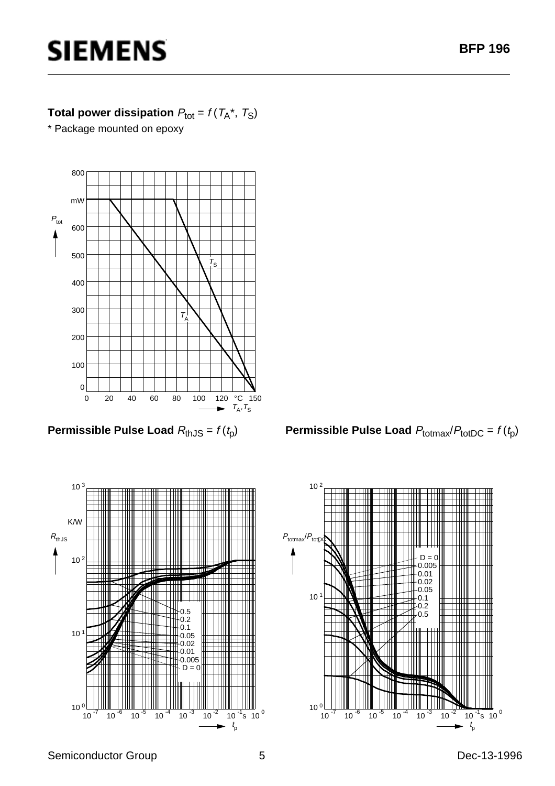## **SIEMENS**

### **Total power dissipation**  $P_{\text{tot}} = f(T_A^*, T_S)$

\* Package mounted on epoxy



**Permissible Pulse Load**  $R_{th,JS} = f(t_p)$ 



**Permissible Pulse Load**  $P_{\text{totmax}}/P_{\text{totDC}} = f(t_p)$ 

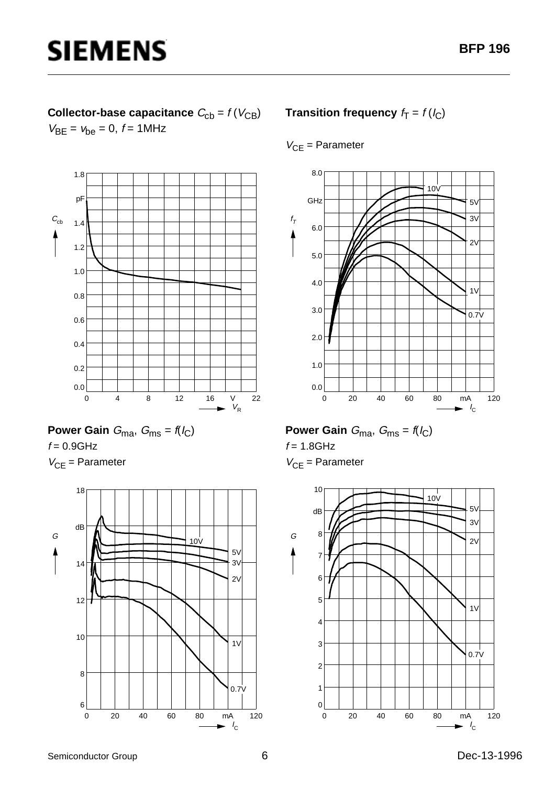### **Collector-base capacitance**  $C_{\text{cb}} = f(V_{\text{CB}})$  $V_{BE} = v_{be} = 0, f = 1MHz$

**SIEMENS** 



Power Gain 
$$
G_{\text{ma}}
$$
,  $G_{\text{ms}} = f(l_C)$   
 $f = 0.9 \text{GHz}$ 

 $V_{CE}$  = Parameter



### **Transition frequency**  $f_T = f(l_C)$

#### $V_{CE}$  = Parameter



## **Power Gain**  $G_{\text{ma}}$ ,  $G_{\text{ms}} = f(I_C)$

 $f = 1.8$ GHz

 $V_{CF}$  = Parameter